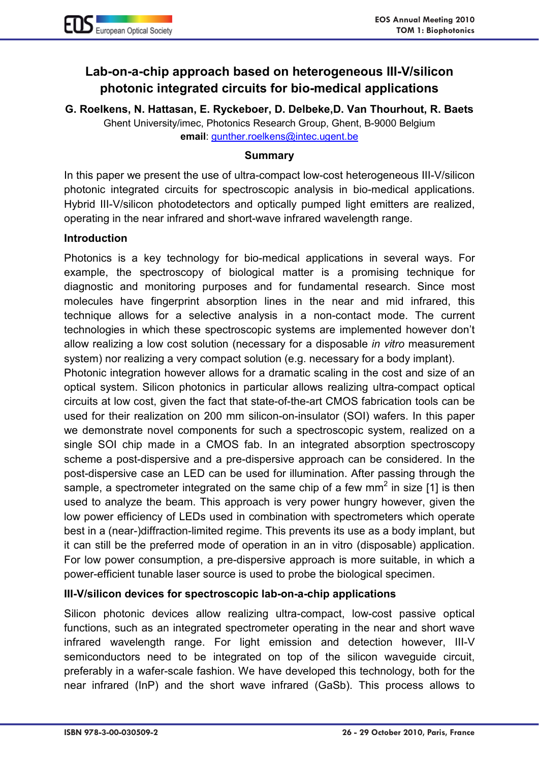## **Lab-on-a-chip approach based on heterogeneous III-V/silicon photonic integrated circuits for bio-medical applications**

**G. Roelkens, N. Hattasan, E. Ryckeboer, D. Delbeke,D. Van Thourhout, R. Baets** Ghent University/imec, Photonics Research Group, Ghent, B-9000 Belgium **email**: gunther.roelkens@intec.ugent.be

## **Summary**

In this paper we present the use of ultra-compact low-cost heterogeneous III-V/silicon photonic integrated circuits for spectroscopic analysis in bio-medical applications. Hybrid III-V/silicon photodetectors and optically pumped light emitters are realized, operating in the near infrared and short-wave infrared wavelength range.

## **Introduction**

Photonics is a key technology for bio-medical applications in several ways. For example, the spectroscopy of biological matter is a promising technique for diagnostic and monitoring purposes and for fundamental research. Since most molecules have fingerprint absorption lines in the near and mid infrared, this technique allows for a selective analysis in a non-contact mode. The current technologies in which these spectroscopic systems are implemented however don't allow realizing a low cost solution (necessary for a disposable *in vitro* measurement system) nor realizing a very compact solution (e.g. necessary for a body implant).

Photonic integration however allows for a dramatic scaling in the cost and size of an optical system. Silicon photonics in particular allows realizing ultra-compact optical circuits at low cost, given the fact that state-of-the-art CMOS fabrication tools can be used for their realization on 200 mm silicon-on-insulator (SOI) wafers. In this paper we demonstrate novel components for such a spectroscopic system, realized on a single SOI chip made in a CMOS fab. In an integrated absorption spectroscopy scheme a post-dispersive and a pre-dispersive approach can be considered. In the post-dispersive case an LED can be used for illumination. After passing through the sample, a spectrometer integrated on the same chip of a few mm<sup>2</sup> in size [1] is then used to analyze the beam. This approach is very power hungry however, given the low power efficiency of LEDs used in combination with spectrometers which operate best in a (near-)diffraction-limited regime. This prevents its use as a body implant, but it can still be the preferred mode of operation in an in vitro (disposable) application. For low power consumption, a pre-dispersive approach is more suitable, in which a power-efficient tunable laser source is used to probe the biological specimen.

## **III-V/silicon devices for spectroscopic lab-on-a-chip applications**

Silicon photonic devices allow realizing ultra-compact, low-cost passive optical functions, such as an integrated spectrometer operating in the near and short wave infrared wavelength range. For light emission and detection however, III-V semiconductors need to be integrated on top of the silicon waveguide circuit, preferably in a wafer-scale fashion. We have developed this technology, both for the near infrared (InP) and the short wave infrared (GaSb). This process allows to